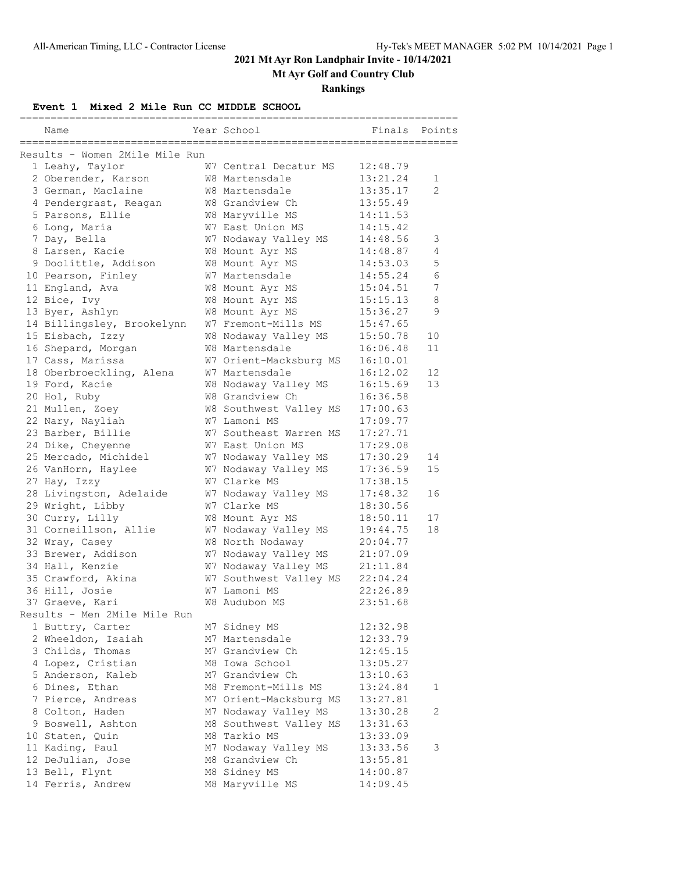### **2021 Mt Ayr Ron Landphair Invite - 10/14/2021**

**Mt Ayr Golf and Country Club**

#### **Rankings**

**Event 1 Mixed 2 Mile Run CC MIDDLE SCHOOL**

| Name                                                                    | Year School                       | Finals               | Points         |
|-------------------------------------------------------------------------|-----------------------------------|----------------------|----------------|
| -------------------------------------<br>Results - Women 2Mile Mile Run |                                   |                      |                |
| 1 Leahy, Taylor                                                         | W7 Central Decatur MS             | 12:48.79             |                |
| 2 Oberender, Karson                                                     | W8 Martensdale                    | 13:21.24             | 1              |
| 3 German, Maclaine                                                      | W8 Martensdale                    | 13:35.17             | $\mathfrak{D}$ |
| 4 Pendergrast, Reagan                                                   | W8 Grandview Ch                   | 13:55.49             |                |
| 5 Parsons, Ellie                                                        | W8 Maryville MS                   | 14:11.53             |                |
| 6 Long, Maria                                                           | W7 East Union MS                  | 14:15.42             |                |
| 7 Day, Bella                                                            | W7 Nodaway Valley MS              | 14:48.56             | 3              |
| 8 Larsen, Kacie                                                         | W8 Mount Ayr MS                   | 14:48.87             | 4              |
| 9 Doolittle, Addison                                                    | W8 Mount Ayr MS                   | 14:53.03             | 5              |
| 10 Pearson, Finley                                                      | W7 Martensdale                    | 14:55.24             | 6              |
| 11 England, Ava                                                         | W8 Mount Ayr MS                   | 15:04.51             | 7              |
| 12 Bice, Ivy                                                            | W8 Mount Ayr MS                   | 15:15.13             | 8              |
| 13 Byer, Ashlyn                                                         | W8 Mount Ayr MS                   | 15:36.27             | 9              |
| 14 Billingsley, Brookelynn                                              | W7 Fremont-Mills MS               | 15:47.65             |                |
| 15 Eisbach, Izzy                                                        | W8 Nodaway Valley MS              | 15:50.78             | 10             |
| 16 Shepard, Morgan                                                      | W8 Martensdale                    | 16:06.48             | 11             |
| 17 Cass, Marissa                                                        | W7 Orient-Macksburg MS            | 16:10.01             |                |
| 18 Oberbroeckling, Alena                                                | W7 Martensdale                    | 16:12.02             | 12             |
| 19 Ford, Kacie                                                          | W8 Nodaway Valley MS              | 16:15.69             | 13             |
| 20 Hol, Ruby                                                            | W8 Grandview Ch                   | 16:36.58             |                |
|                                                                         | W8 Southwest Valley MS            | 17:00.63             |                |
| 21 Mullen, Zoey                                                         | W7 Lamoni MS                      | 17:09.77             |                |
| 22 Nary, Nayliah                                                        | W7 Southeast Warren MS            | 17:27.71             |                |
| 23 Barber, Billie                                                       |                                   |                      |                |
| 24 Dike, Cheyenne                                                       | W7 East Union MS                  | 17:29.08             |                |
| 25 Mercado, Michidel                                                    | W7 Nodaway Valley MS              | 17:30.29             | 14<br>15       |
| 26 VanHorn, Haylee                                                      | W7 Nodaway Valley MS              | 17:36.59             |                |
| 27 Hay, Izzy                                                            | W7 Clarke MS                      | 17:38.15             |                |
| 28 Livingston, Adelaide                                                 | W7 Nodaway Valley MS              | 17:48.32             | 16             |
| 29 Wright, Libby                                                        | W7 Clarke MS                      | 18:30.56             |                |
| 30 Curry, Lilly                                                         | W8 Mount Ayr MS                   | 18:50.11             | 17             |
| 31 Corneillson, Allie                                                   | W7 Nodaway Valley MS              | 19:44.75             | 18             |
| 32 Wray, Casey                                                          | W8 North Nodaway                  | 20:04.77             |                |
| 33 Brewer, Addison                                                      | W7 Nodaway Valley MS              | 21:07.09             |                |
| 34 Hall, Kenzie                                                         | W7 Nodaway Valley MS              | 21:11.84             |                |
| 35 Crawford, Akina                                                      | W7 Southwest Valley MS            | 22:04.24             |                |
| 36 Hill, Josie                                                          | W7 Lamoni MS                      | 22:26.89             |                |
| 37 Graeve, Kari<br>Results - Men 2Mile Mile Run                         | W8 Audubon MS                     | 23:51.68             |                |
|                                                                         |                                   | 12:32.98             |                |
| 1 Buttry, Carter                                                        | M7 Sidney MS                      |                      |                |
| 2 Wheeldon, Isaiah                                                      | M7 Martensdale<br>M7 Grandview Ch | 12:33.79<br>12:45.15 |                |
| 3 Childs, Thomas                                                        |                                   |                      |                |
| 4 Lopez, Cristian                                                       | M8 Iowa School                    | 13:05.27             |                |
| 5 Anderson, Kaleb                                                       | M7 Grandview Ch                   | 13:10.63             |                |
| 6 Dines, Ethan                                                          | M8 Fremont-Mills MS               | 13:24.84             | 1              |
| 7 Pierce, Andreas                                                       | M7 Orient-Macksburg MS            | 13:27.81             |                |
| 8 Colton, Haden                                                         | M7 Nodaway Valley MS              | 13:30.28             | $\overline{2}$ |
| 9 Boswell, Ashton                                                       | M8 Southwest Valley MS            | 13:31.63             |                |
| 10 Staten, Quin                                                         | M8 Tarkio MS                      | 13:33.09             |                |
| 11 Kading, Paul                                                         | M7 Nodaway Valley MS              | 13:33.56             | 3              |
| 12 DeJulian, Jose                                                       | M8 Grandview Ch                   | 13:55.81             |                |
| 13 Bell, Flynt                                                          | M8 Sidney MS                      | 14:00.87             |                |
| 14 Ferris, Andrew                                                       | M8 Maryville MS                   | 14:09.45             |                |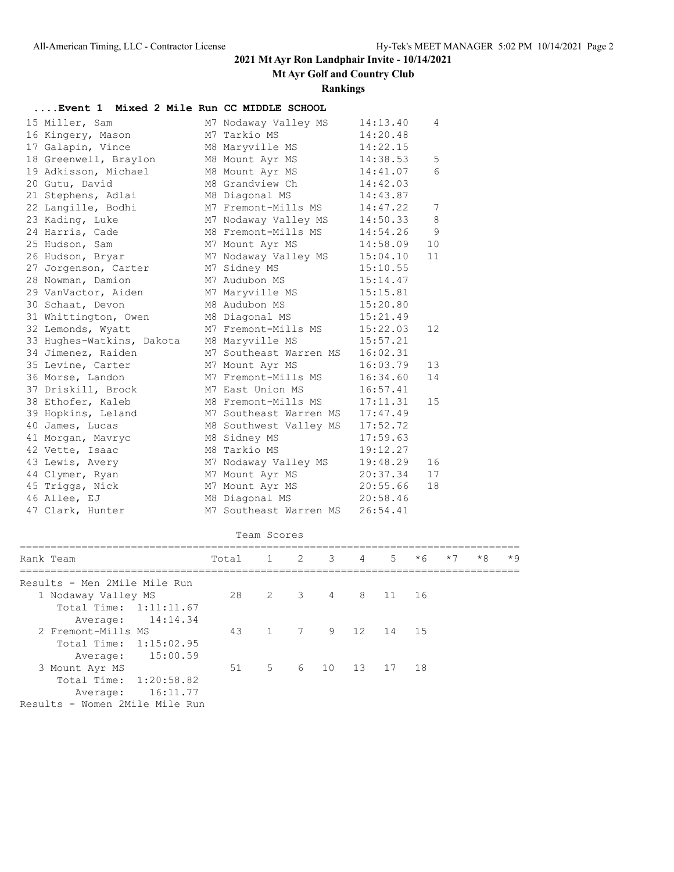## **2021 Mt Ayr Ron Landphair Invite - 10/14/2021**

**Mt Ayr Golf and Country Club**

#### **Rankings**

| Event 1   Mixed 2 Mile Run CC MIDDLE SCHOOL         |                        |              |   |   |   |          |      |      |      |      |
|-----------------------------------------------------|------------------------|--------------|---|---|---|----------|------|------|------|------|
| 15 Miller, Sam                                      | M7 Nodaway Valley MS   |              |   |   |   | 14:13.40 | 4    |      |      |      |
| 16 Kingery, Mason                                   | M7 Tarkio MS           |              |   |   |   | 14:20.48 |      |      |      |      |
| 17 Galapin, Vince                                   | M8 Maryville MS        |              |   |   |   | 14:22.15 |      |      |      |      |
| 18 Greenwell, Braylon                               | M8 Mount Ayr MS        |              |   |   |   | 14:38.53 | 5    |      |      |      |
| 19 Adkisson, Michael                                | M8 Mount Ayr MS        |              |   |   |   | 14:41.07 | 6    |      |      |      |
| 20 Gutu, David                                      | M8 Grandview Ch        |              |   |   |   | 14:42.03 |      |      |      |      |
| 21 Stephens, Adlai                                  | M8 Diagonal MS         |              |   |   |   | 14:43.87 |      |      |      |      |
| 22 Langille, Bodhi                                  | M7 Fremont-Mills MS    |              |   |   |   | 14:47.22 | 7    |      |      |      |
| 23 Kading, Luke                                     | M7 Nodaway Valley MS   |              |   |   |   | 14:50.33 | 8    |      |      |      |
| 24 Harris, Cade                                     | M8 Fremont-Mills MS    |              |   |   |   | 14:54.26 | 9    |      |      |      |
| 25 Hudson, Sam                                      | M7 Mount Ayr MS        |              |   |   |   | 14:58.09 | 10   |      |      |      |
| 26 Hudson, Bryar                                    | M7 Nodaway Valley MS   |              |   |   |   | 15:04.10 | 11   |      |      |      |
| 27 Jorgenson, Carter                                | M7 Sidney MS           |              |   |   |   | 15:10.55 |      |      |      |      |
| 28 Nowman, Damion                                   | M7 Audubon MS          |              |   |   |   | 15:14.47 |      |      |      |      |
| 29 VanVactor, Aiden                                 | M7 Maryville MS        |              |   |   |   | 15:15.81 |      |      |      |      |
| 30 Schaat, Devon                                    | M8 Audubon MS          |              |   |   |   | 15:20.80 |      |      |      |      |
| 31 Whittington, Owen                                | M8 Diagonal MS         |              |   |   |   | 15:21.49 |      |      |      |      |
| 32 Lemonds, Wyatt                                   | M7 Fremont-Mills MS    |              |   |   |   | 15:22.03 | 12   |      |      |      |
| 33 Hughes-Watkins, Dakota                           | M8 Maryville MS        |              |   |   |   | 15:57.21 |      |      |      |      |
| 34 Jimenez, Raiden                                  | M7 Southeast Warren MS |              |   |   |   | 16:02.31 |      |      |      |      |
| 35 Levine, Carter                                   | M7 Mount Ayr MS        |              |   |   |   | 16:03.79 | 13   |      |      |      |
| 36 Morse, Landon                                    | M7 Fremont-Mills MS    |              |   |   |   | 16:34.60 | 14   |      |      |      |
| 37 Driskill, Brock                                  | M7 East Union MS       |              |   |   |   | 16:57.41 |      |      |      |      |
| 38 Ethofer, Kaleb                                   | M8 Fremont-Mills MS    |              |   |   |   | 17:11.31 | 15   |      |      |      |
| 39 Hopkins, Leland                                  | M7 Southeast Warren MS |              |   |   |   | 17:47.49 |      |      |      |      |
| 40 James, Lucas                                     | M8 Southwest Valley MS |              |   |   |   | 17:52.72 |      |      |      |      |
| 41 Morgan, Mavryc                                   | M8 Sidney MS           |              |   |   |   | 17:59.63 |      |      |      |      |
| 42 Vette, Isaac                                     | M8 Tarkio MS           |              |   |   |   | 19:12.27 |      |      |      |      |
| 43 Lewis, Avery                                     | M7 Nodaway Valley MS   |              |   |   |   | 19:48.29 | 16   |      |      |      |
| 44 Clymer, Ryan                                     | M7 Mount Ayr MS        |              |   |   |   | 20:37.34 | 17   |      |      |      |
| 45 Triggs, Nick                                     | M7 Mount Ayr MS        |              |   |   |   | 20:55.66 | 18   |      |      |      |
| 46 Allee, EJ                                        | M8 Diagonal MS         |              |   |   |   | 20:58.46 |      |      |      |      |
| 47 Clark, Hunter                                    | M7 Southeast Warren MS |              |   |   |   | 26:54.41 |      |      |      |      |
|                                                     |                        | Team Scores  |   |   |   |          |      |      |      |      |
| Rank Team                                           | Total                  | $\mathbf{1}$ | 2 | 3 | 4 | 5        | $*6$ | $*7$ | $*8$ | $*9$ |
|                                                     |                        |              |   |   |   |          |      |      |      |      |
| Results - Men 2Mile Mile Run<br>1 Nodaway Valley MS | 28                     | 2            | 3 | 4 | 8 | 11       | 16   |      |      |      |
|                                                     |                        |              |   |   |   |          |      |      |      |      |

| Rank Team                      | Total 1 2 3 4 |       |  | $5 -$                  | $*6$ | $*7$ | $*8$ | $*9$ |
|--------------------------------|---------------|-------|--|------------------------|------|------|------|------|
| Results - Men 2Mile Mile Run   |               |       |  |                        |      |      |      |      |
| 1 Nodaway Valley MS            |               |       |  | 28  2  3  4  8  11  16 |      |      |      |      |
| Total Time: 1:11:11.67         |               |       |  |                        |      |      |      |      |
| Average: 14:14.34              |               |       |  |                        |      |      |      |      |
| 2 Fremont-Mills MS             |               |       |  | 43 1 7 9 12 14 15      |      |      |      |      |
| Total Time: 1:15:02.95         |               |       |  |                        |      |      |      |      |
| Average: 15:00.59              |               |       |  |                        |      |      |      |      |
| 3 Mount Ayr MS                 |               | $5 -$ |  | 6 10 13 17 18          |      |      |      |      |
| Total Time: 1:20:58.82         |               |       |  |                        |      |      |      |      |
| Average: 16:11.77              |               |       |  |                        |      |      |      |      |
| Results - Women 2Mile Mile Run |               |       |  |                        |      |      |      |      |